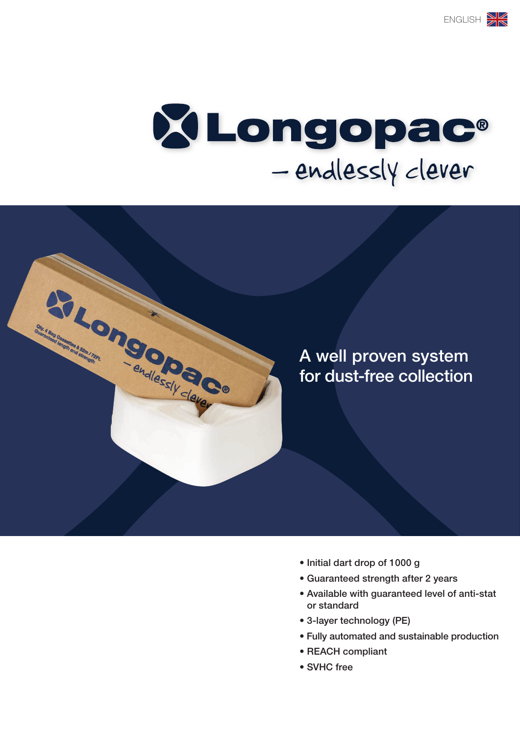

STRONOO OO BOOM



- Initial dart drop of 1000 g
- Guaranteed strength after 2 years
- Available with guaranteed level of anti-stat or standard
- 3-layer technology (PE)
- Fully automated and sustainable production
- REACH compliant
- SVHC free